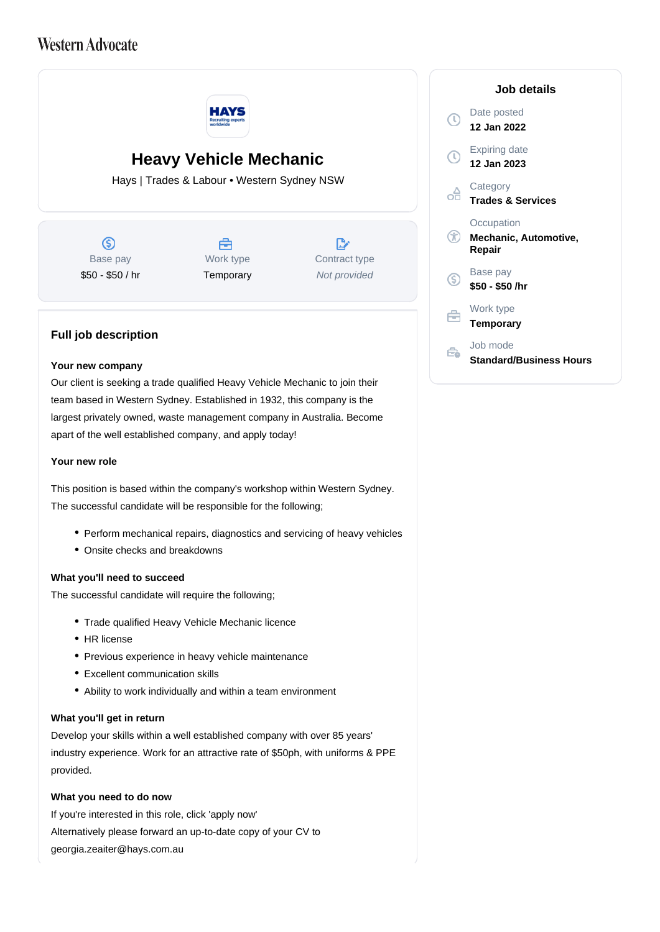# **Western Advocate**



# **Heavy Vehicle Mechanic**

Hays | Trades & Labour • Western Sydney NSW

G) Base pay \$50 - \$50 / hr



 $\mathbb{R}$ Contract type Not provided

## **Full job description**

#### **Your new company**

Our client is seeking a trade qualified Heavy Vehicle Mechanic to join their team based in Western Sydney. Established in 1932, this company is the largest privately owned, waste management company in Australia. Become apart of the well established company, and apply today!

#### **Your new role**

This position is based within the company's workshop within Western Sydney. The successful candidate will be responsible for the following;

- Perform mechanical repairs, diagnostics and servicing of heavy vehicles
- Onsite checks and breakdowns

### **What you'll need to succeed**

The successful candidate will require the following;

- Trade qualified Heavy Vehicle Mechanic licence
- HR license
- Previous experience in heavy vehicle maintenance
- Excellent communication skills
- Ability to work individually and within a team environment

#### **What you'll get in return**

Develop your skills within a well established company with over 85 years' industry experience. Work for an attractive rate of \$50ph, with uniforms & PPE provided.

### **What you need to do now**

If you're interested in this role, click 'apply now' Alternatively please forward an up-to-date copy of your CV to georgia.zeaiter@hays.com.au

#### **Job details** Date posted  $\Omega$ **12 Jan 2022** Expiring date **12 Jan 2023 Category** oĦ **Trades & Services Occupation**  $\circledR$ **Mechanic, Automotive, Repair** Base pay <sub>(S)</sub> **\$50 - \$50 /hr** Work type e **Temporary** Job mode Ê. **Standard/Business Hours**